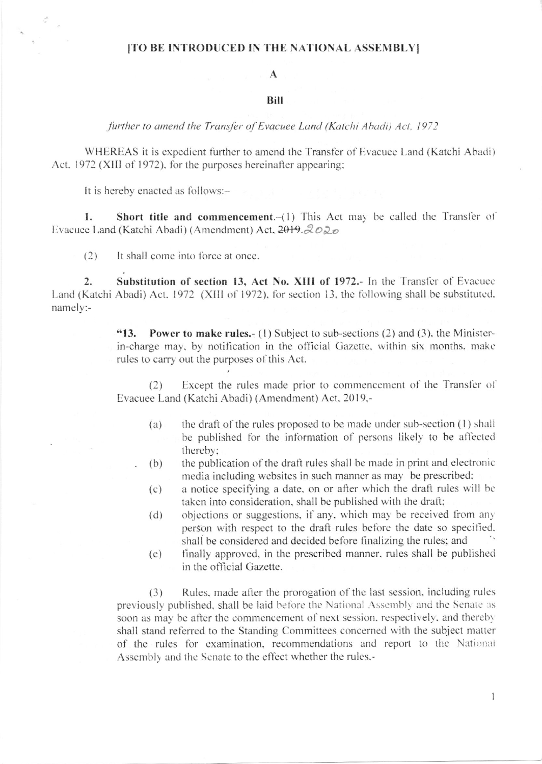#### [TO BE INTRODUCED IN THE NATIONAL ASSEMBLY]

## $\mathbf{A}$

#### **Bill**

further to amend the Transfer of Evacuee Land (Katchi Abadi) Act, 1972

WHEREAS it is expedient further to amend the Transfer of Evacuee Land (Katchi Abadi) Act, 1972 (XIII of 1972), for the purposes hereinafter appearing;

It is hereby enacted as follows:-

Short title and commencement. $-(1)$  This Act may be called the Transfer of 1. Evacuee Land (Katchi Abadi) (Amendment) Act, 2019. 2020

 $(2)$ It shall come into force at once.

Substitution of section 13, Act No. XIII of 1972.- In the Transfer of Evacuee  $\overline{2}$ . Land (Katchi Abadi) Act, 1972 (XIII of 1972), for section 13, the following shall be substituted. namely:-

> "13. **Power to make rules.** (1) Subject to sub-sections (2) and (3), the Ministerin-charge may, by notification in the official Gazette, within six months, make rules to carry out the purposes of this Act.

> Except the rules made prior to commencement of the Transfer of  $(2)$ Evacuee Land (Katchi Abadi) (Amendment) Act. 2019,-

- the draft of the rules proposed to be made under sub-section (1) shall  $(a)$ be published for the information of persons likely to be affected thereby;
- the publication of the draft rules shall be made in print and electronic  $(b)$ media including websites in such manner as may be prescribed;
- a notice specifying a date, on or after which the draft rules will be  $(c)$ taken into consideration, shall be published with the draft;
- objections or suggestions, if any, which may be received from any  $(d)$ person with respect to the draft rules before the date so specified. shall be considered and decided before finalizing the rules; and
- finally approved, in the prescribed manner, rules shall be published  $(e)$ in the official Gazette.

Rules, made after the prorogation of the last session, including rules  $(3)$ previously published, shall be laid before the National Assembly and the Senate as soon as may be after the commencement of next session, respectively, and thereby shall stand referred to the Standing Committees concerned with the subject matter of the rules for examination, recommendations and report to the National Assembly and the Senate to the effect whether the rules.-

 $\mathbf{1}$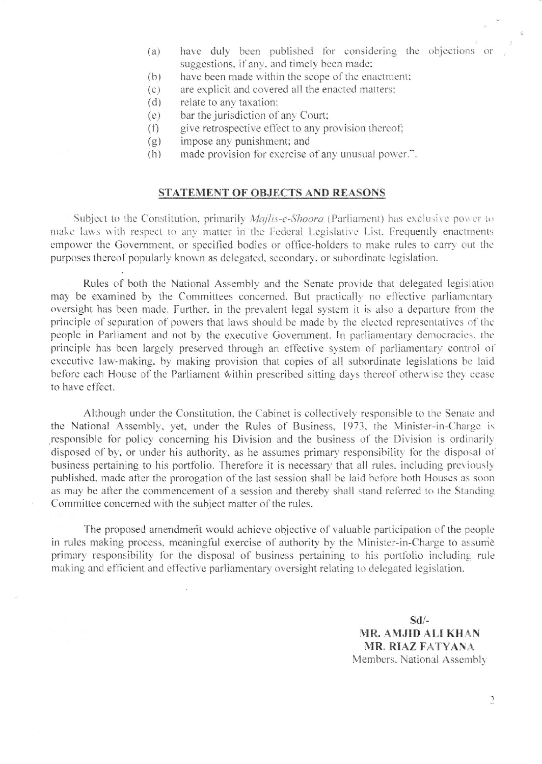- have duly been published for considering the objections or  $(a)$ suggestions, if any, and timely been made;
- have been made within the scope of the enactment;  $(b)$
- are explicit and covered all the enacted matters;  $(c)$
- $(d)$ relate to any taxation:
- bar the jurisdiction of any Court;  $(e)$
- give retrospective effect to any provision thereof;  $(f)$
- impose any punishment; and  $(g)$
- made provision for exercise of any unusual power.".  $(h)$

### **STATEMENT OF OBJECTS AND REASONS**

Subject to the Constitution, primarily *Majlis-e-Shoora* (Parliament) has exclusive power to make laws with respect to any matter in the Federal Legislative List. Frequently enactments empower the Government, or specified bodies or office-holders to make rules to carry out the purposes thereof popularly known as delegated, secondary, or subordinate legislation.

Rules of both the National Assembly and the Senate provide that delegated legislation may be examined by the Committees concerned. But practically no effective parliamentary oversight has been made. Further, in the prevalent legal system it is also a departure from the principle of separation of powers that laws should be made by the elected representatives of the people in Parliament and not by the executive Government. In parliamentary democracies, the principle has been largely preserved through an effective system of parliamentary control of executive law-making, by making provision that copies of all subordinate legislations be laid before each House of the Parliament within prescribed sitting days thereof otherwise they cease to have effect.

Although under the Constitution, the Cabinet is collectively responsible to the Senate and the National Assembly, yet, under the Rules of Business, 1973, the Minister-in-Charge is responsible for policy concerning his Division and the business of the Division is ordinarily disposed of by, or under his authority, as he assumes primary responsibility for the disposal of business pertaining to his portfolio. Therefore it is necessary that all rules, including previously published, made after the prorogation of the last session shall be laid before both Houses as soon as may be after the commencement of a session and thereby shall stand referred to the Standing Committee concerned with the subject matter of the rules.

The proposed amendment would achieve objective of valuable participation of the people in rules making process, meaningful exercise of authority by the Minister-in-Charge to assume primary responsibility for the disposal of business pertaining to his portfolio including rule making and efficient and effective parliamentary oversight relating to delegated legislation.

> $Sd/-$ MR. AMJID ALI KHAN **MR. RIAZ FATYANA** Members. National Assembly

> > $\supseteq$